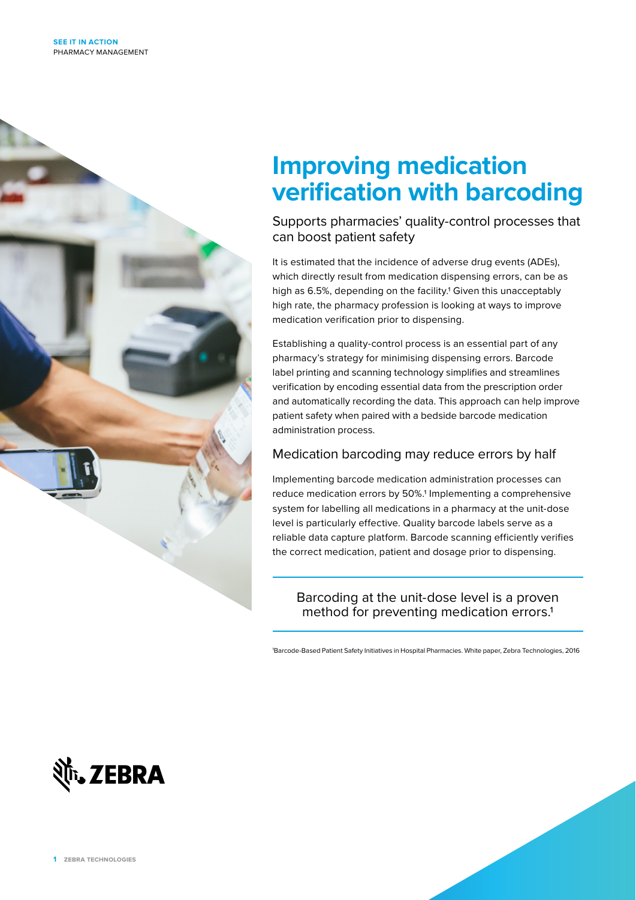

# **Improving medication verification with barcoding**

Supports pharmacies' quality-control processes that can boost patient safety

It is estimated that the incidence of adverse drug events (ADEs), which directly result from medication dispensing errors, can be as high as 6.5%, depending on the facility.<sup>1</sup> Given this unacceptably high rate, the pharmacy profession is looking at ways to improve medication verification prior to dispensing.

Establishing a quality-control process is an essential part of any pharmacy's strategy for minimising dispensing errors. Barcode label printing and scanning technology simplifies and streamlines verification by encoding essential data from the prescription order and automatically recording the data. This approach can help improve patient safety when paired with a bedside barcode medication administration process.

### Medication barcoding may reduce errors by half

Implementing barcode medication administration processes can reduce medication errors by 50%.1 Implementing a comprehensive system for labelling all medications in a pharmacy at the unit-dose level is particularly effective. Quality barcode labels serve as a reliable data capture platform. Barcode scanning efficiently verifies the correct medication, patient and dosage prior to dispensing.

### Barcoding at the unit-dose level is a proven method for preventing medication errors.1

1 Barcode-Based Patient Safety Initiatives in Hospital Pharmacies. White paper, Zebra Technologies, 2016

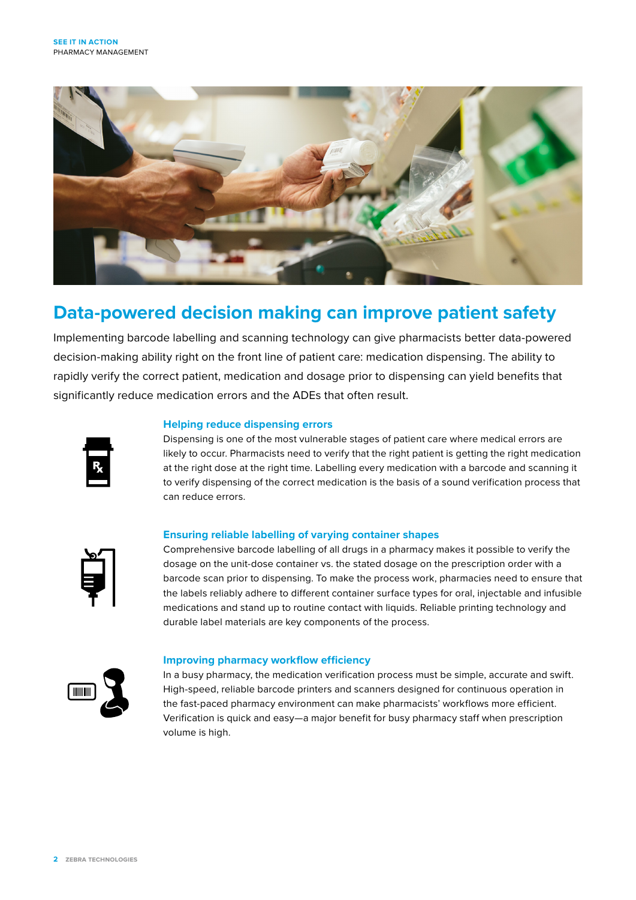

## **Data-powered decision making can improve patient safety**

Implementing barcode labelling and scanning technology can give pharmacists better data-powered decision-making ability right on the front line of patient care: medication dispensing. The ability to rapidly verify the correct patient, medication and dosage prior to dispensing can yield benefits that significantly reduce medication errors and the ADEs that often result.



#### **Helping reduce dispensing errors**

Dispensing is one of the most vulnerable stages of patient care where medical errors are likely to occur. Pharmacists need to verify that the right patient is getting the right medication at the right dose at the right time. Labelling every medication with a barcode and scanning it to verify dispensing of the correct medication is the basis of a sound verification process that can reduce errors.

#### **Ensuring reliable labelling of varying container shapes**



Comprehensive barcode labelling of all drugs in a pharmacy makes it possible to verify the dosage on the unit-dose container vs. the stated dosage on the prescription order with a barcode scan prior to dispensing. To make the process work, pharmacies need to ensure that the labels reliably adhere to different container surface types for oral, injectable and infusible medications and stand up to routine contact with liquids. Reliable printing technology and durable label materials are key components of the process.



#### **Improving pharmacy workflow efficiency**

In a busy pharmacy, the medication verification process must be simple, accurate and swift. High-speed, reliable barcode printers and scanners designed for continuous operation in the fast-paced pharmacy environment can make pharmacists' workflows more efficient. Verification is quick and easy—a major benefit for busy pharmacy staff when prescription volume is high.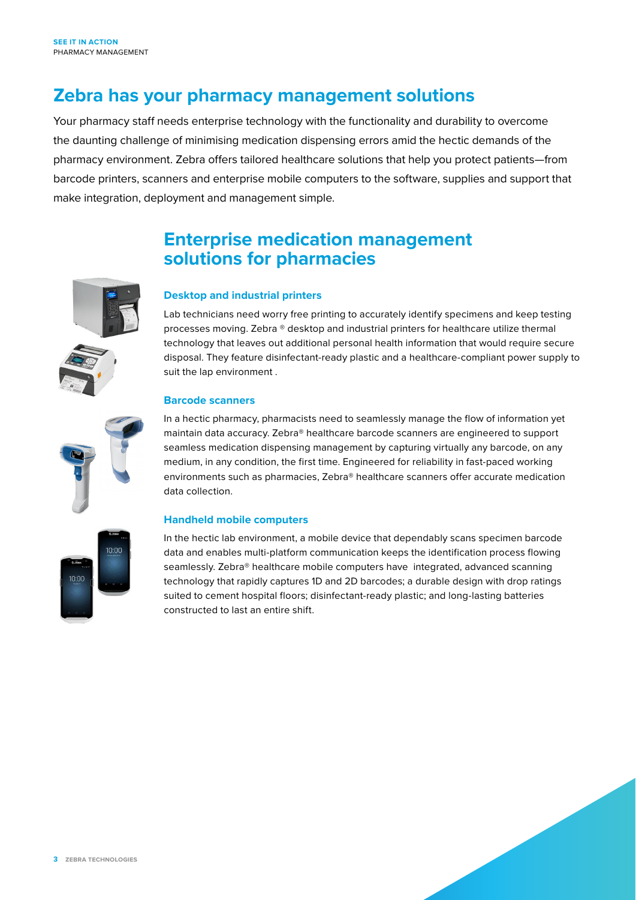### **Zebra has your pharmacy management solutions**

Your pharmacy staff needs enterprise technology with the functionality and durability to overcome the daunting challenge of minimising medication dispensing errors amid the hectic demands of the pharmacy environment. Zebra offers tailored healthcare solutions that help you protect patients—from barcode printers, scanners and enterprise mobile computers to the software, supplies and support that make integration, deployment and management simple.

### **Enterprise medication management solutions for pharmacies**



### **Desktop and industrial printers**

Lab technicians need worry free printing to accurately identify specimens and keep testing processes moving. Zebra ® desktop and industrial printers for healthcare utilize thermal technology that leaves out additional personal health information that would require secure disposal. They feature disinfectant-ready plastic and a healthcare-compliant power supply to suit the lap environment .

#### **Barcode scanners**

In a hectic pharmacy, pharmacists need to seamlessly manage the flow of information yet maintain data accuracy. Zebra® healthcare barcode scanners are engineered to support seamless medication dispensing management by capturing virtually any barcode, on any medium, in any condition, the first time. Engineered for reliability in fast-paced working environments such as pharmacies, Zebra® healthcare scanners offer accurate medication data collection.

#### **Handheld mobile computers**

In the hectic lab environment, a mobile device that dependably scans specimen barcode data and enables multi-platform communication keeps the identification process flowing seamlessly. Zebra® healthcare mobile computers have integrated, advanced scanning technology that rapidly captures 1D and 2D barcodes; a durable design with drop ratings suited to cement hospital floors; disinfectant-ready plastic; and long-lasting batteries constructed to last an entire shift.